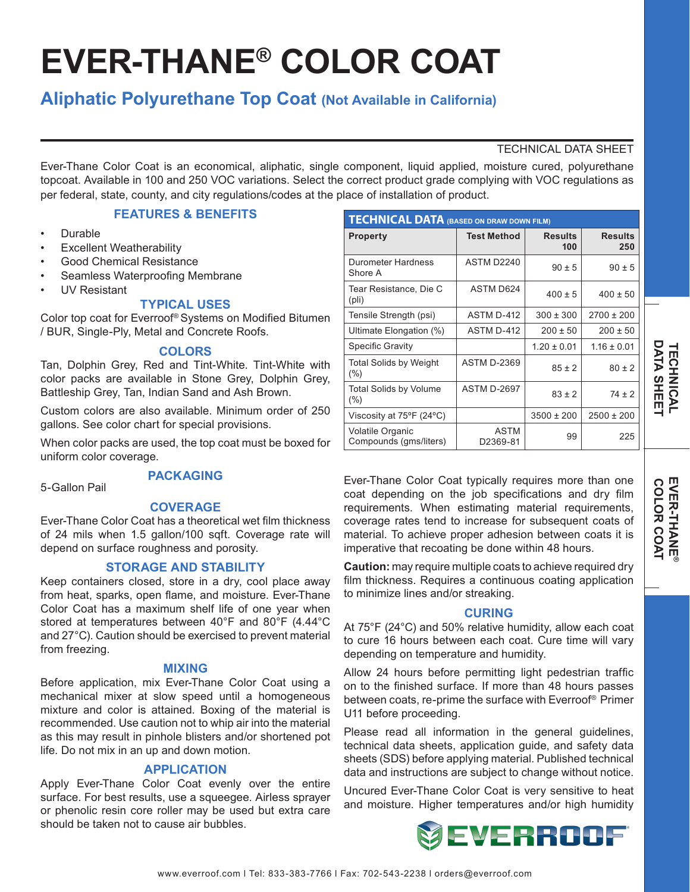# **EVER-THANE® COLOR COAT**

# **Aliphatic Polyurethane Top Coat (Not Available in California)**

# TECHNICAL DATA SHEET

Ever-Thane Color Coat is an economical, aliphatic, single component, liquid applied, moisture cured, polyurethane topcoat. Available in 100 and 250 VOC variations. Select the correct product grade complying with VOC regulations as per federal, state, county, and city regulations/codes at the place of installation of product.

# **FEATURES & BENEFITS**

- Durable
- **Excellent Weatherability**
- Good Chemical Resistance
- Seamless Waterproofing Membrane
- UV Resistant

# **TYPICAL USES**

Color top coat for Everroof® Systems on Modified Bitumen / BUR, Single-Ply, Metal and Concrete Roofs.

#### **COLORS**

Tan, Dolphin Grey, Red and Tint-White. Tint-White with color packs are available in Stone Grey, Dolphin Grey, Battleship Grey, Tan, Indian Sand and Ash Brown.

Custom colors are also available. Minimum order of 250 gallons. See color chart for special provisions.

When color packs are used, the top coat must be boxed for uniform color coverage.

# **PACKAGING**

5-Gallon Pail

#### **COVERAGE**

Ever-Thane Color Coat has a theoretical wet film thickness of 24 mils when 1.5 gallon/100 sqft. Coverage rate will depend on surface roughness and porosity.

#### **STORAGE AND STABILITY**

Keep containers closed, store in a dry, cool place away from heat, sparks, open flame, and moisture. Ever-Thane Color Coat has a maximum shelf life of one year when stored at temperatures between 40°F and 80°F (4.44°C and 27°C). Caution should be exercised to prevent material from freezing.

#### **MIXING**

Before application, mix Ever-Thane Color Coat using a mechanical mixer at slow speed until a homogeneous mixture and color is attained. Boxing of the material is recommended. Use caution not to whip air into the material as this may result in pinhole blisters and/or shortened pot life. Do not mix in an up and down motion.

# **APPLICATION**

Apply Ever-Thane Color Coat evenly over the entire surface. For best results, use a squeegee. Airless sprayer or phenolic resin core roller may be used but extra care should be taken not to cause air bubbles.

| <b>TECHNICAL DATA (BASED ON DRAW DOWN FILM)</b> |                         |                       |                       |
|-------------------------------------------------|-------------------------|-----------------------|-----------------------|
| <b>Property</b>                                 | <b>Test Method</b>      | <b>Results</b><br>100 | <b>Results</b><br>250 |
| Durometer Hardness<br>Shore A                   | ASTM D2240              | $90 \pm 5$            | $90 \pm 5$            |
| Tear Resistance, Die C<br>$(\text{pli})$        | ASTM D624               | $400 \pm 5$           | $400 \pm 50$          |
| Tensile Strength (psi)                          | ASTM D-412              | $300 \pm 300$         | $2700 \pm 200$        |
| Ultimate Elongation (%)                         | ASTM D-412              | $200 \pm 50$          | $200 \pm 50$          |
| <b>Specific Gravity</b>                         |                         | $1.20 \pm 0.01$       | $1.16 \pm 0.01$       |
| <b>Total Solids by Weight</b><br>$(\% )$        | <b>ASTM D-2369</b>      | $85 \pm 2$            | $80 \pm 2$            |
| <b>Total Solids by Volume</b><br>$(\% )$        | <b>ASTM D-2697</b>      | $83 \pm 2$            | $74 \pm 2$            |
| Viscosity at 75°F (24°C)                        |                         | $3500 \pm 200$        | $2500 \pm 200$        |
| Volatile Organic<br>Compounds (gms/liters)      | <b>ASTM</b><br>D2369-81 | 99                    | 225                   |

Ever-Thane Color Coat typically requires more than one coat depending on the job specifications and dry film requirements. When estimating material requirements, coverage rates tend to increase for subsequent coats of material. To achieve proper adhesion between coats it is imperative that recoating be done within 48 hours.

**Caution:** may require multiple coats to achieve required dry film thickness. Requires a continuous coating application to minimize lines and/or streaking.

#### **CURING**

At 75°F (24°C) and 50% relative humidity, allow each coat to cure 16 hours between each coat. Cure time will vary depending on temperature and humidity.

Allow 24 hours before permitting light pedestrian traffic on to the finished surface. If more than 48 hours passes between coats, re-prime the surface with Everroof® Primer U11 before proceeding.

Please read all information in the general guidelines, technical data sheets, application guide, and safety data sheets (SDS) before applying material. Published technical data and instructions are subject to change without notice.

Uncured Ever-Thane Color Coat is very sensitive to heat and moisture. Higher temperatures and/or high humidity



**COLOR COAT DATA SHEET EVER-THANE** COLOR COAT

**TECHNICAL**

**TECHNICAL<br>DATA SHEET** 

**®**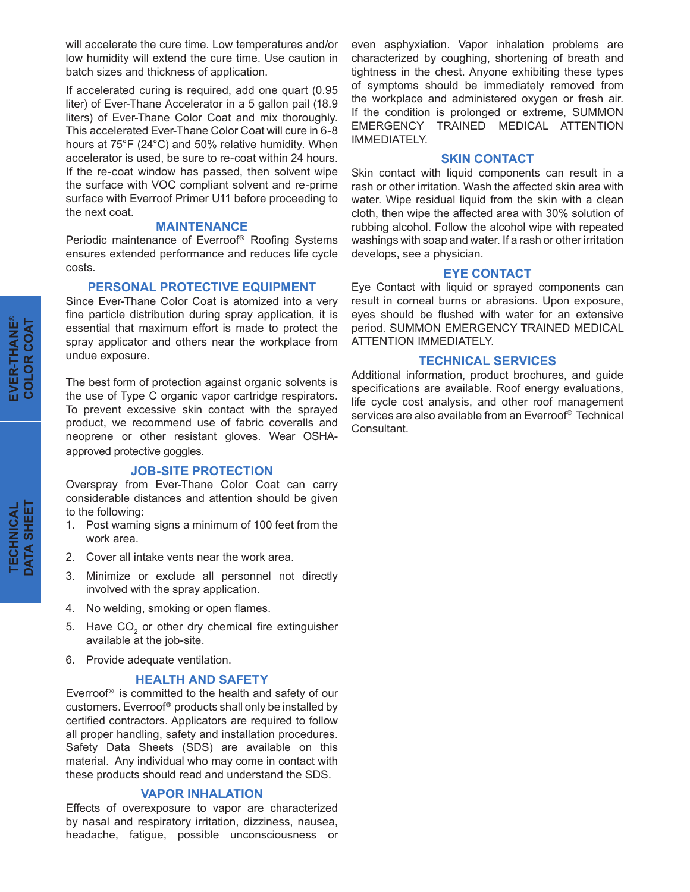will accelerate the cure time. Low temperatures and/or low humidity will extend the cure time. Use caution in batch sizes and thickness of application.

If accelerated curing is required, add one quart (0.95 liter) of Ever-Thane Accelerator in a 5 gallon pail (18.9 liters) of Ever-Thane Color Coat and mix thoroughly. This accelerated Ever-Thane Color Coat will cure in 6-8 hours at 75°F (24°C) and 50% relative humidity. When accelerator is used, be sure to re-coat within 24 hours. If the re-coat window has passed, then solvent wipe the surface with VOC compliant solvent and re-prime surface with Everroof Primer U11 before proceeding to the next coat.

#### **MAINTENANCE**

Periodic maintenance of Everroof® Roofing Systems ensures extended performance and reduces life cycle costs.

# **PERSONAL PROTECTIVE EQUIPMENT**

Since Ever-Thane Color Coat is atomized into a very fine particle distribution during spray application, it is essential that maximum effort is made to protect the spray applicator and others near the workplace from undue exposure.

The best form of protection against organic solvents is the use of Type C organic vapor cartridge respirators. To prevent excessive skin contact with the sprayed product, we recommend use of fabric coveralls and neoprene or other resistant gloves. Wear OSHAapproved protective goggles.

## **JOB-SITE PROTECTION**

Overspray from Ever-Thane Color Coat can carry considerable distances and attention should be given to the following:

- 1. Post warning signs a minimum of 100 feet from the work area.
- 2. Cover all intake vents near the work area.
- 3. Minimize or exclude all personnel not directly involved with the spray application.
- 4. No welding, smoking or open flames.
- 5. Have  $CO<sub>2</sub>$  or other dry chemical fire extinguisher available at the job-site.
- 6. Provide adequate ventilation.

#### **HEALTH AND SAFETY**

Everroof® is committed to the health and safety of our customers. Everroof® products shall only be installed by certified contractors. Applicators are required to follow all proper handling, safety and installation procedures. Safety Data Sheets (SDS) are available on this material. Any individual who may come in contact with these products should read and understand the SDS.

#### **VAPOR INHALATION**

Effects of overexposure to vapor are characterized by nasal and respiratory irritation, dizziness, nausea, headache, fatigue, possible unconsciousness or even asphyxiation. Vapor inhalation problems are characterized by coughing, shortening of breath and tightness in the chest. Anyone exhibiting these types of symptoms should be immediately removed from the workplace and administered oxygen or fresh air. If the condition is prolonged or extreme, SUMMON EMERGENCY TRAINED MEDICAL ATTENTION IMMEDIATELY.

#### **SKIN CONTACT**

Skin contact with liquid components can result in a rash or other irritation. Wash the affected skin area with water. Wipe residual liquid from the skin with a clean cloth, then wipe the affected area with 30% solution of rubbing alcohol. Follow the alcohol wipe with repeated washings with soap and water. If a rash or other irritation develops, see a physician.

#### **EYE CONTACT**

Eye Contact with liquid or sprayed components can result in corneal burns or abrasions. Upon exposure, eyes should be flushed with water for an extensive period. SUMMON EMERGENCY TRAINED MEDICAL ATTENTION IMMEDIATELY.

#### **TECHNICAL SERVICES**

Additional information, product brochures, and guide specifications are available. Roof energy evaluations, life cycle cost analysis, and other roof management services are also available from an Everroof® Technical Consultant.

**EVER-THANE EVER-THANE®**<br>COLOR COAT **COLOR COAT**